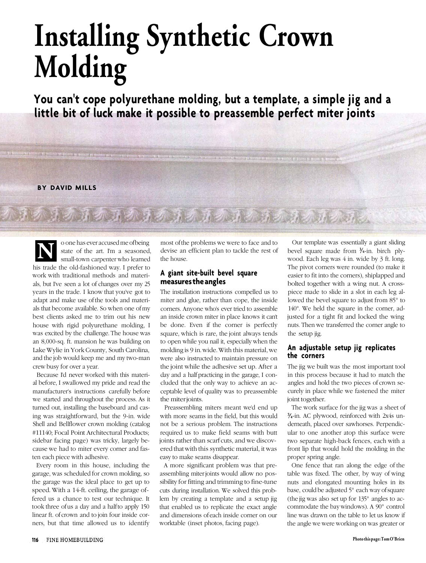# **Installing Synthetic Crown Molding**

**You can't cope polyurethane molding, but a template, a simple jig and a little bit of luck make it possible to preassemble perfect miter joints**

#### **BY DAVID MILLS**

o one has ever accused me of being state of the art. I'm a seasoned, small-town carpenter who learned his trade the old-fashioned way. I prefer to work with traditional methods and materials, but I've seen a lot of changes over my 25 years in the trade. I know that you've got to adapt and make use of the tools and materials that become available. So when one of my best clients asked me to trim out his new house with rigid polyurethane molding, I was excited by the challenge. The house was an 8,000-sq. ft. mansion he was building on Lake Wylie in York County, South Carolina, and the job would keep me and my two-man crew busy for over a year. **N**

the local process for the company to the company to the contract of the company with

Because I'd never worked with this material before, I swallowed my pride and read the manufacturer's instructions carefully before we started and throughout the process. As it turned out, installing the baseboard and casing was straightforward, but the 9-in. wide Shell and Bellflower crown molding (catalog #11140; Focal Point Architectural Products; sidebar facing page) was tricky, largely because we had to miter every corner and fasten each piece with adhesive.

Every room in this house, including the garage, was scheduled for crown molding, so the garage was the ideal place to get up to speed. With a 14-ft. ceiling, the garage offered us a chance to test our technique. It took three of us a day and a half to apply 150 linear ft. of crown and to join four inside corners, but that time allowed us to identify

most of the problems we were to face and to devise an efficient plan to tackle the rest of the house.

有机五乙 五乙 五乙五乙 五乙五乙 五乙五乙二元

#### **A giant site-built bevel square measures the angles**

The installation instructions compelled us to miter and glue, rather than cope, the inside corners. Anyone who's ever tried to assemble an inside crown miter in place knows it can't be done. Even if the corner is perfectly square, which is rare, the joint always tends to open while you nail it, especially when the molding is 9 in. wide. With this material, we were also instructed to maintain pressure on the joint while the adhesive set up. After a day and a half practicing in the garage, I concluded that the only way to achieve an acceptable level of quality was to preassemble the miter joints.

Preassembling miters meant we'd end up with more seams in the field, but this would not be a serious problem. The instructions required us to make field seams with butt joints rather than scarf cuts, and we discovered that with this synthetic material, it was easy to make seams disappear.

A more significant problem was that preassembling miter joints would allow no possibility for fitting and trimming to fine-tune cuts during installation. We solved this problem by creating a template and a setup jig that enabled us to replicate the exact angle and dimensions of each inside corner on our worktable (inset photos, facing page).

Our template was essentially a giant sliding bevel square made from  $\frac{3}{4}$ -in. birch plywood. Each leg was 4 in. wide by 3 ft. long. The pivot corners were rounded (to make it easier to fit into the corners), shiplapped and bolted together with a wing nut. A crosspiece made to slide in a slot in each leg allowed the bevel square to adjust from 85° to 140°. We held the square in the corner, adjusted for a tight fit and locked the wing nuts. Then we transferred the corner angle to the setup jig.

that we expect the matching and position at an intervention of

#### **An adjustable setup jig replicates the corners**

The jig we built was the most important tool in this process because it had to match the angles and hold the two pieces of crown securely in place while we fastened the miter joint together.

The work surface for the jig was a sheet of  $\frac{3}{4}$ -in. AC plywood, reinforced with 2x4s underneath, placed over sawhorses. Perpendicular to one another atop this surface were two separate high-back fences, each with a front lip that would hold the molding in the proper spring angle.

One fence that ran along the edge of the table was fixed. The other, by way of wing nuts and elongated mounting holes in its base, could be adjusted 5° each way of square (the jig was also set up for 135° angles to accommodate the bay windows). A 90° control line was drawn on the table to let us know if the angle we were working on was greater or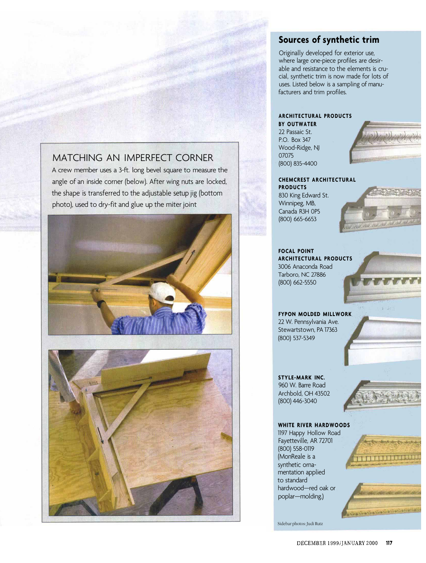## MATCHING AN IMPERFECT CORNER

A crew member uses a 3-ft. long bevel square to measure the angle of an inside corner (below). After wing nuts are locked, the shape is transferred to the adjustable setup jig (bottom photo), used to dry-fit and glue up the miter joint





## **Sources of synthetic trim**

Originally developed for exterior use, where large one-piece profiles are desirable and resistance to the elements is crucial, synthetic trim is now made for lots of uses. Listed below is a sampling of manufacturers and trim profiles.

### **ARCHITECTURAL PRODUCTS**

**BY OUTWATER** 22 Passaic St. P.O. Box 347 Wood-Ridge, NJ 07075 (800) 835-4400



## **CHEMCREST ARCHITECTURAL**

**PRODUCTS** 830 King Edward St. Winnipeg, MB, Canada R3H 0P5 (800) 665-6653



**FOCAL POINT ARCHITECTURAL PRODUCTS** 3006 Anaconda Road Tarboro, NC 27886 (800) 662-5550



**STYLE-MARK INC.** 960 W. Barre Road Archbold, OH 43502 (800) 446-3040

Stewartstown, PA 17363 (800) 537-5349

**WHITE RIVER HARDWOODS** 1197 Happy Hollow Road Fayetteville, AR 72701 (800) 558-0119 (MonReale is a synthetic ornamentation applied to standard hardwood—red oak or poplar—molding.)

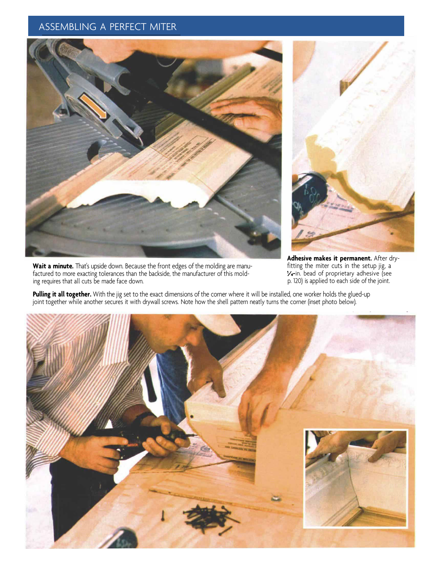## ASSEMBLING A PERFECT MITER



**Wait a minute.** That's upside down. Because the front edges of the molding are manufactured to more exacting tolerances than the backside, the manufacturer of this molding requires that all cuts be made face down.



**Adhesive makes it permanent.** After dryfitting the miter cuts in the setup jig, a **-**in. bead of proprietary adhesive (see p. 120) is applied to each side of the joint.

**Pulling it all together.** With the jig set to the exact dimensions of the corner where it will be installed, one worker holds the glued-up joint together while another secures it with drywall screws. Note how the shell pattern neatly turns the corner (inset photo below).

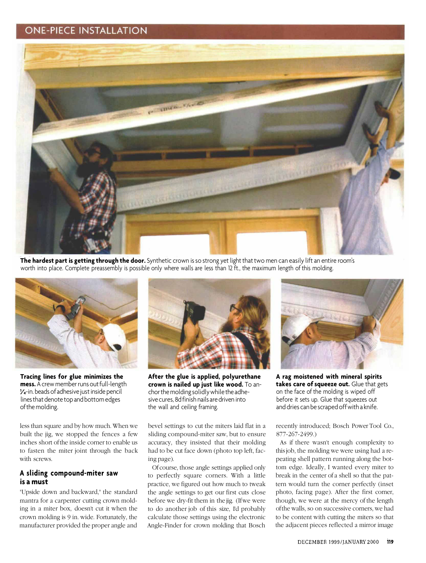## **ONE-PIECE INSTALLATION**



**The hardest part is getting through the door.** Synthetic crown is so strong yet light that two men can easily lift an entire room's worth into place. Complete preassembly is possible only where walls are less than 12 ft., the maximum length of this molding.



**Tracing lines for glue minimizes the mess.**A crew member runs out full-length  $V<sub>4</sub>$ -in. beads of adhesive just inside pencil lines that denote top and bottom edges of the molding.

less than square and by how much. When we built the jig, we stopped the fences a few inches short of the inside corner to enable us to fasten the miter joint through the back with screws.

#### **A sliding compound-miter saw is a must**

"Upside down and backward," the standard mantra for a carpenter cutting crown molding in a miter box, doesn't cut it when the crown molding is 9 in. wide. Fortunately, the manufacturer provided the proper angle and



**After the glue is applied, polyurethane crown is nailed up just like wood.** To anchor the molding solidly while the adhesive cures, 8d finish nails are driven into the wall and ceiling framing.

bevel settings to cut the miters laid flat in a sliding compound-miter saw, but to ensure accuracy, they insisted that their molding had to be cut face down (photo top left, facing page).

Of course, those angle settings applied only to perfectly square corners. With a little practice, we figured out how much to tweak the angle settings to get our first cuts close before we dry-fit them in the jig. (If we were to do another job of this size, I'd probably calculate those settings using the electronic Angle-Finder for crown molding that Bosch



**A rag moistened with mineral spirits takes care of squeeze out.** Glue that gets on the face of the molding is wiped off before it sets up. Glue that squeezes out and dries can be scraped off with a knife.

recently introduced; Bosch Power Tool Co., 877-267-2499.)

As if there wasn't enough complexity to this job, the molding we were using had a repeating shell pattern running along the bottom edge. Ideally, I wanted every miter to break in the center of a shell so that the pattern would turn the corner perfectly (inset photo, facing page). After the first corner, though, we were at the mercy of the length of the walls, so on successive corners, we had to be content with cutting the miters so that the adjacent pieces reflected a mirror image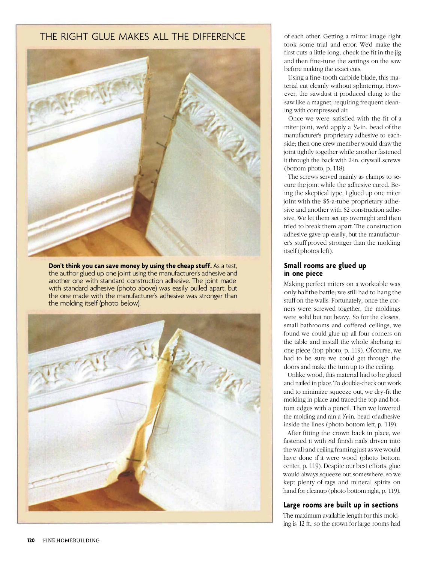## THE RIGHT GLUE MAKES ALL THE DIFFERENCE



**Don't think you can save money by using the cheap stuff.** As a test, the author glued up one joint using the manufacturer's adhesive and another one with standard construction adhesive. The joint made with standard adhesive (photo above) was easily pulled apart, but the one made with the manufacturer's adhesive was stronger than the molding itself (photo below).



of each other. Getting a mirror image right took some trial and error. We'd make the first cuts a little long, check the fit in the jig and then fine-tune the settings on the saw before making the exact cuts.

Using a fine-tooth carbide blade, this material cut cleanly without splintering. However, the sawdust it produced clung to the saw like a magnet, requiring frequent cleaning with compressed air.

Once we were satisfied with the fit of a miter joint, we'd apply a  $\frac{1}{4}$ -in. bead of the manufacturer's proprietary adhesive to eachside; then one crew member would draw the joint tightly together while another fastened it through the back with 2-in. drywall screws (bottom photo, p. 118).

The screws served mainly as clamps to secure the joint while the adhesive cured. Being the skeptical type, I glued up one miter joint with the \$5-a-tube proprietary adhesive and another with \$2 construction adhesive. We let them set up overnight and then tried to break them apart. The construction adhesive gave up easily, but the manufacturer's stuff proved stronger than the molding itself (photos left).

#### **Small rooms are glued up in one piece**

Making perfect miters on a worktable was only half the battle; we still had to hang the stuff on the walls. Fortunately, once the corners were screwed together, the moldings were solid but not heavy. So for the closets, small bathrooms and coffered ceilings, we found we could glue up all four corners on the table and install the whole shebang in one piece (top photo, p. 119). Of course, we had to be sure we could get through the doors and make the turn up to the ceiling.

Unlike wood, this material had to be glued and nailed in place. To double-check our work and to minimize squeeze out, we dry-fit the molding in place and traced the top and bottom edges with a pencil. Then we lowered the molding and ran a  $\frac{1}{4}$ -in. bead of adhesive inside the lines (photo bottom left, p. 119).

After fitting the crown back in place, we fastened it with 8d finish nails driven into the wall and ceiling framing just as we would have done if it were wood (photo bottom center, p. 119). Despite our best efforts, glue would always squeeze out somewhere, so we kept plenty of rags and mineral spirits on hand for cleanup (photo bottom right, p. 119).

#### **Large rooms are built up in sections**

The maximum available length for this molding is 12 ft., so the crown for large rooms had